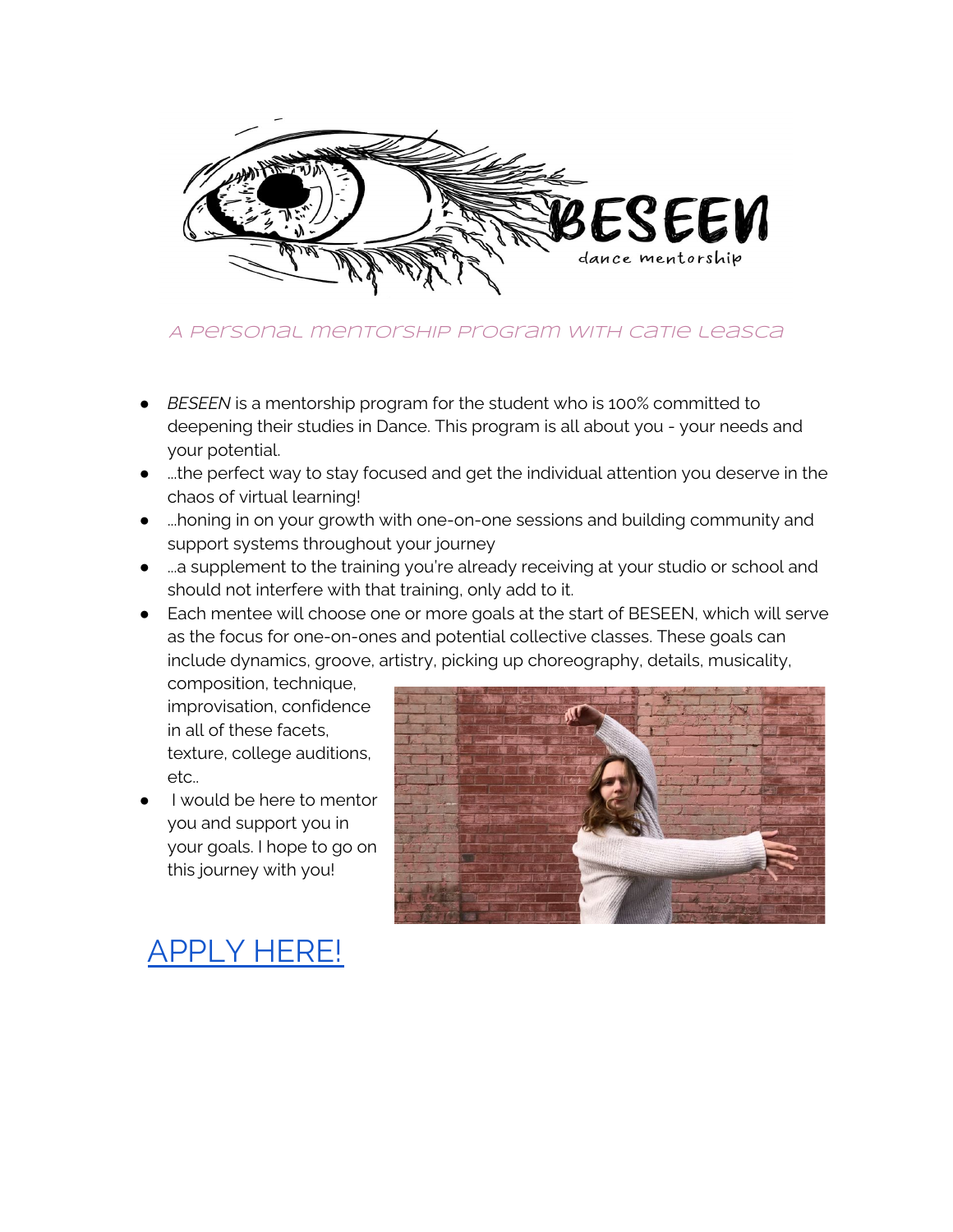

### A personal mentorship program with catie leasca

- **BESEEN** is a mentorship program for the student who is 100% committed to deepening their studies in Dance. This program is all about you - your needs and your potential.
- ...the perfect way to stay focused and get the individual attention you deserve in the chaos of virtual learning!
- ...honing in on your growth with one-on-one sessions and building community and support systems throughout your journey
- ...a supplement to the training you're already receiving at your studio or school and should not interfere with that training, only add to it.
- Each mentee will choose one or more goals at the start of BESEEN, which will serve as the focus for one-on-ones and potential collective classes. These goals can include dynamics, groove, artistry, picking up choreography, details, musicality,

composition, technique, improvisation, confidence in all of these facets, texture, college auditions, etc..

I would be here to mentor you and support you in your goals. I hope to go on this journey with you!



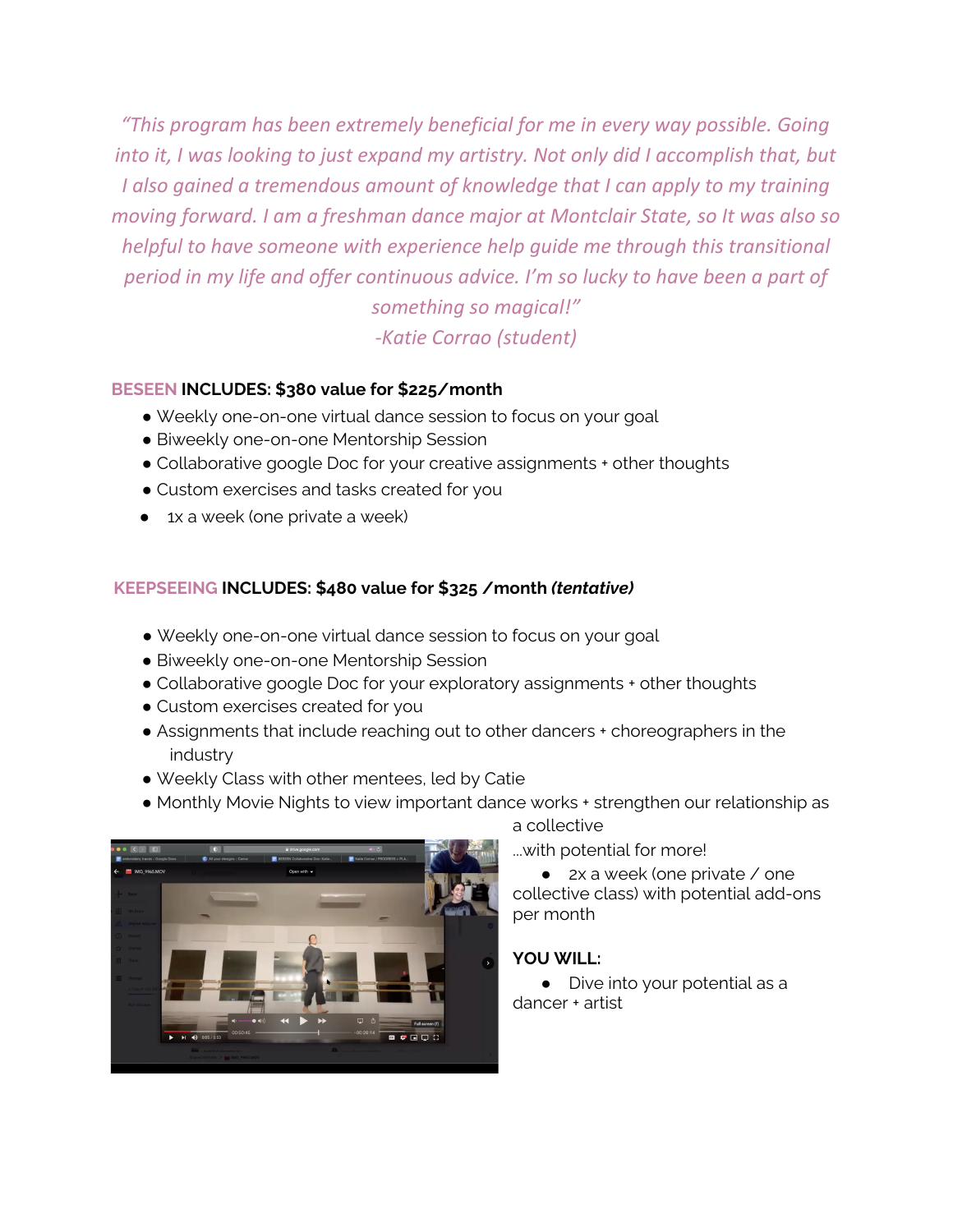*"This program has been extremely beneficial for me in every way possible. Going into it, I was looking to just expand my artistry. Not only did I accomplish that, but I also gained a tremendous amount of knowledge that I can apply to my training moving forward. I am a freshman dance major at Montclair State, so It was also so helpful to have someone with experience help guide me through this transitional period in my life and offer continuous advice. I'm so lucky to have been a part of*

*something so magical!" -Katie Corrao (student)*

#### **BESEEN INCLUDES: \$380 value for \$225/month**

- Weekly one-on-one virtual dance session to focus on your goal
- **Biweekly one-on-one Mentorship Session**
- Collaborative google Doc for your creative assignments + other thoughts
- Custom exercises and tasks created for you
- 1x a week (one private a week)

#### **KEEPSEEING INCLUDES: \$480 value for \$325 /month** *(tentative)*

- Weekly one-on-one virtual dance session to focus on your goal
- **Biweekly one-on-one Mentorship Session**
- Collaborative google Doc for your exploratory assignments + other thoughts
- Custom exercises created for you
- Assignments that include reaching out to other dancers + choreographers in the industry
- *●* Weekly Class with other mentees, led by Catie
- Monthly Movie Nights to view important dance works + strengthen our relationship as



a collective

...with potential for more!

● 2x a week (one private / one collective class) with potential add-ons per month

#### **YOU WILL:**

● Dive into your potential as a dancer + artist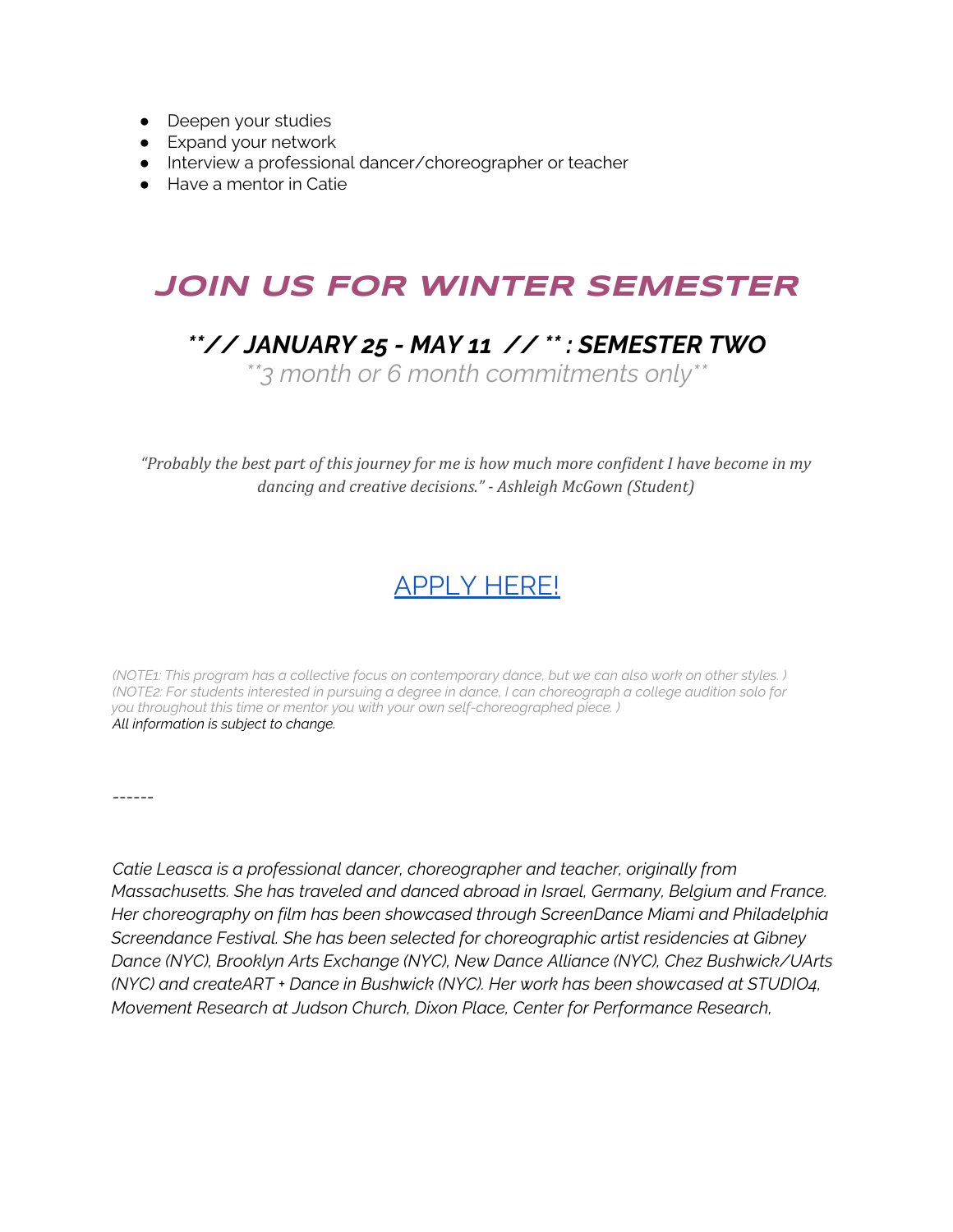- Deepen your studies
- Expand your network
- Interview a professional dancer/choreographer or teacher
- Have a mentor in Catie

# **JOIN US FOR WINTER SEMESTER**

## *\*\*// JANUARY 25 - MAY 11 // \*\* : SEMESTER TWO*

*\*\*3 month or 6 month commitments only\*\**

"Probably the best part of this journey for me is how much more confident I have become in my *dancing and creative decisions." - Ashleigh McGown (Student)*

### [APPLY](https://docs.google.com/forms/d/e/1FAIpQLSf7DDe3rf9DB9BiOudAblTQISFHthmz3fJmwDywlBHCNugWJg/viewform) HERE!

(NOTE1: This program has a collective focus on contemporary dance, but we can also work on other styles.) (NOTE2: For students interested in pursuing a degree in dance, I can choreograph a college audition solo for *you throughout this time or mentor you with your own self-choreographed piece. ) All information is subject to change.*

*------*

*Catie Leasca is a professional dancer, choreographer and teacher, originally from Massachusetts. She has traveled and danced abroad in Israel, Germany, Belgium and France. Her choreography on film has been showcased through ScreenDance Miami and Philadelphia Screendance Festival. She has been selected for choreographic artist residencies at Gibney Dance (NYC), Brooklyn Arts Exchange (NYC), New Dance Alliance (NYC), Chez Bushwick/UArts (NYC) and createART + Dance in Bushwick (NYC). Her work has been showcased at STUDIO4, Movement Research at Judson Church, Dixon Place, Center for Performance Research,*